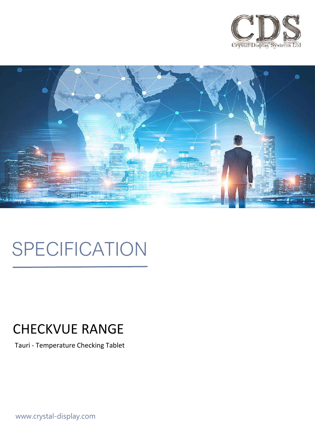



# SPECIFICATION

# CHECKVUE RANGE

Tauri - Temperature Checking Tablet

www.crystal-display.com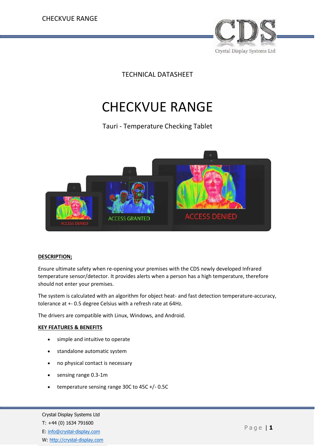

TECHNICAL DATASHEET

## CHECKVUE RANGE

Tauri - Temperature Checking Tablet



#### **DESCRIPTION;**

Ensure ultimate safety when re-opening your premises with the CDS newly developed Infrared temperature sensor/detector. It provides alerts when a person has a high temperature, therefore should not enter your premises.

The system is calculated with an algorithm for object heat- and fast detection temperature-accuracy, tolerance at +- 0.5 degree Celsius with a refresh rate at 64Hz.

The drivers are compatible with Linux, Windows, and Android.

#### **KEY FEATURES & BENEFITS**

- simple and intuitive to operate
- standalone automatic system
- no physical contact is necessary
- sensing range 0.3-1m
- temperature sensing range 30C to 45C +/- 0.5C

Crystal Display Systems Ltd T: +44 (0) 1634 791600 E: [info@crystal-display.com](mailto:info@crystal-display.com) W: [http://crystal-display.com](http://crystal-display.com/)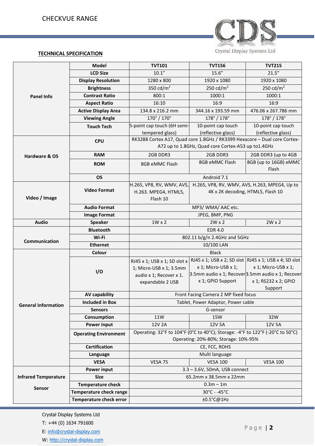

#### **TECHNICAL SPECIFICATION**

| <b>Panel Info</b>                     | <b>Model</b>                 | <b>TVT101</b>                                                                  | <b>TVT156</b>                     | <b>TVT215</b>                                                            |  |
|---------------------------------------|------------------------------|--------------------------------------------------------------------------------|-----------------------------------|--------------------------------------------------------------------------|--|
|                                       | <b>LCD Size</b>              | 10.1"                                                                          | 15.6''                            | 21.5''                                                                   |  |
|                                       | <b>Display Resolution</b>    | 1280 x 800                                                                     | 1920 x 1080                       | 1920 x 1080                                                              |  |
|                                       | <b>Brightness</b>            | 350 cd/ $m2$                                                                   | 250 cd/ $m2$                      | 250 cd/ $m2$                                                             |  |
|                                       | <b>Contrast Ratio</b>        | 800:1                                                                          | 1000:1                            | 1000:1                                                                   |  |
|                                       | <b>Aspect Ratio</b>          | 16:10                                                                          | 16:9                              | 16:9                                                                     |  |
|                                       | <b>Active Display Area</b>   | 134.8 x 216.2 mm                                                               | 344.16 x 193.59 mm                | 476.06 x 267.786 mm                                                      |  |
|                                       | <b>Viewing Angle</b>         | 170° / 170°                                                                    | 178°/178°                         | 178°/178°                                                                |  |
|                                       | <b>Touch Tech</b>            | 5-point cap touch (6H semi-                                                    | 10-point cap touch                | 10-point cap touch                                                       |  |
|                                       |                              | tempered glass)                                                                | (reflective glass)                | (reflective glass)                                                       |  |
|                                       | <b>CPU</b>                   | RK3288 Cortex A17, Quad core 1.8GHz / RK3399 Hexacore - Dual core Cortex-      |                                   |                                                                          |  |
|                                       |                              | A72 up to 1.8GHz, Quad core Cortex-A53 up to1.4GHz                             |                                   |                                                                          |  |
| Hardware & OS                         | <b>RAM</b>                   | 2GB DDR3                                                                       | 2GB DDR3                          | 2GB DDR3 (up to 4GB                                                      |  |
|                                       | <b>ROM</b>                   | 8GB eMMC Flash                                                                 | 8GB eMMC Flash                    | 8GB (up to 16GB) eMMC                                                    |  |
|                                       |                              |                                                                                |                                   | Flash                                                                    |  |
|                                       | <b>OS</b>                    |                                                                                | Android 7.1                       |                                                                          |  |
| Video / Image                         | <b>Video Format</b>          | H.265, VP8, RV, WMV, AVS,                                                      |                                   | H.265, VP8, RV, WMV, AVS, H.263, MPEG4, Up to                            |  |
|                                       |                              | H.263. MPEG4, HTML5,                                                           | 4K x 2K decoding, HTML5, Flash 10 |                                                                          |  |
|                                       |                              | Flash 10                                                                       |                                   |                                                                          |  |
|                                       | <b>Audio Format</b>          | MP3/WMA/AAC etc.                                                               |                                   |                                                                          |  |
|                                       | <b>Image Format</b>          | JPEG, BMP, PNG                                                                 |                                   |                                                                          |  |
| <b>Audio</b>                          | <b>Speaker</b>               | $1W \times 2$                                                                  | $2W \times 2$                     | $2W \times 2$                                                            |  |
| Communication                         | <b>Bluetooth</b>             | <b>EDR 4.0</b>                                                                 |                                   |                                                                          |  |
|                                       | Wi-Fi                        | 802.11 b/g/n 2.4GHz and 5GHz                                                   |                                   |                                                                          |  |
|                                       | <b>Ethernet</b>              | 10/100 LAN                                                                     |                                   |                                                                          |  |
|                                       | Colour                       | <b>Black</b>                                                                   |                                   |                                                                          |  |
|                                       | I/O                          | RJ45 x 1; USB x 1; SD slot x                                                   |                                   | RJ45 x 1; USB x 2; SD slot   RJ45 x 1; USB x 4; SD slot                  |  |
|                                       |                              | 1; Micro-USB x 1; 3.5mm                                                        | x 1; Micro-USB x 1;               | x 1; Micro-USB x 1;<br>3.5mm audio x 1; Recover 3.5mm audio x 1; Recover |  |
|                                       |                              | audio x 1; Recover x 1.                                                        | x 1; GPIO Support                 | x 1; RS232 x 2; GPIO                                                     |  |
|                                       |                              | expandable 2 USB                                                               |                                   | Support                                                                  |  |
|                                       | <b>AV capability</b>         | Front Facing Camera 2 MP fixed focus                                           |                                   |                                                                          |  |
|                                       | <b>Included in Box</b>       | Tablet, Power Adaptor, Power cable                                             |                                   |                                                                          |  |
| <b>General Information</b>            | <b>Sensors</b>               | G-sensor                                                                       |                                   |                                                                          |  |
|                                       | Consumption                  | 11W                                                                            | 15W                               | 32W                                                                      |  |
|                                       | Power input                  | 12V 2A                                                                         | 12V 5A                            | 12V 5A                                                                   |  |
|                                       | <b>Operating Environment</b> | Operating: 32°F to 104°F (0°C to 40°C); Storage: -4°F to 122°F (-20°C to 50°C) |                                   |                                                                          |  |
|                                       |                              | Operating: 20%-80%; Storage: 10%-95%                                           |                                   |                                                                          |  |
|                                       | <b>Certification</b>         | CE, FCC, ROHS                                                                  |                                   |                                                                          |  |
|                                       | Language                     | Multi language                                                                 |                                   |                                                                          |  |
|                                       | <b>VESA</b>                  | VESA 75                                                                        | <b>VESA 100</b>                   | <b>VESA 100</b>                                                          |  |
|                                       | Power input                  | 3.3 - 3.6V, 50mA, USB connect                                                  |                                   |                                                                          |  |
| <b>Infrared Temperature</b><br>Sensor | <b>Size</b>                  | 65.2mm x 38.5mm x 22mm                                                         |                                   |                                                                          |  |
|                                       | <b>Temperature check</b>     | $0.3m - 1m$                                                                    |                                   |                                                                          |  |
|                                       | Temperature check range      | 30°C - -45°C                                                                   |                                   |                                                                          |  |
|                                       | Temperature check error      | $±0.5^{\circ}$ C@1Hz                                                           |                                   |                                                                          |  |

Crystal Display Systems Ltd

T: +44 (0) 1634 791600

E: [info@crystal-display.com](mailto:info@crystal-display.com)

W: [http://crystal-display.com](http://crystal-display.com/)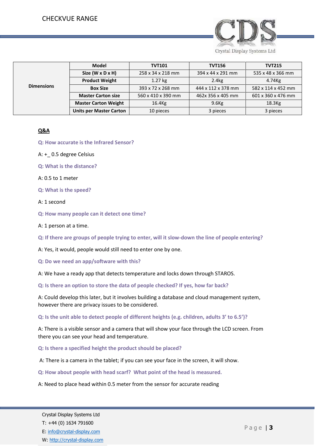

| <b>Dimensions</b> | <b>Model</b>                   | <b>TVT101</b>      | <b>TVT156</b>      | <b>TVT215</b>      |
|-------------------|--------------------------------|--------------------|--------------------|--------------------|
|                   | Size $(W \times D \times H)$   | 258 x 34 x 218 mm  | 394 x 44 x 291 mm  | 535 x 48 x 366 mm  |
|                   | <b>Product Weight</b>          | $1.27$ kg          | 2.4 <sub>kg</sub>  | 4.74Kg             |
|                   | <b>Box Size</b>                | 393 x 72 x 268 mm  | 444 x 112 x 378 mm | 582 x 114 x 452 mm |
|                   | <b>Master Carton size</b>      | 560 x 410 x 390 mm | 462x 356 x 405 mm  | 601 x 360 x 476 mm |
|                   | <b>Master Carton Weight</b>    | $16.4$ Kg          | $9.6$ Kg           | 18.3 <sub>kg</sub> |
|                   | <b>Units per Master Carton</b> | 10 pieces          | 3 pieces           | 3 pieces           |

#### **Q&A**

- **Q: How accurate is the Infrared Sensor?**
- A: +\_ 0.5 degree Celsius
- **Q: What is the distance?**
- A: 0.5 to 1 meter
- **Q: What is the speed?**
- A: 1 second
- **Q: How many people can it detect one time?**
- A: 1 person at a time.

**Accessories Q: If there are groups of people trying to enter, will it slow-down the line of people entering?**

- A: Yes, it would, people would still need to enter one by one.
- **Q: Do we need an app/software with this?**

A: We have a ready app that detects temperature and locks down through STAROS.

**Q: Is there an option to store the data of people checked? If yes, how far back?**

A: Could develop this later, but it involves building a database and cloud management system, however there are privacy issues to be considered.

**Q: Is the unit able to detect people of different heights (e.g. children, adults 3' to 6.5')?**

A: There is a visible sensor and a camera that will show your face through the LCD screen. From there you can see your head and temperature.

- **Q: Is there a specified height the product should be placed?**
- A: There is a camera in the tablet; if you can see your face in the screen, it will show.
- **Q: How about people with head scarf? What point of the head is measured.**
- A: Need to place head within 0.5 meter from the sensor for accurate reading

P a g e | **3**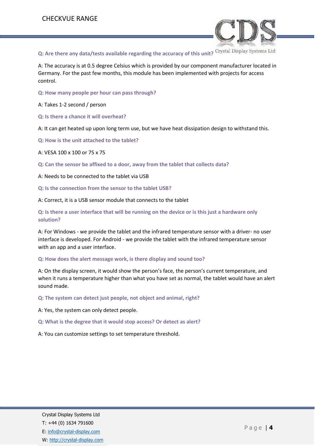

**Q: Are there any data/tests available regarding the accuracy of this unit?**

A: The accuracy is at 0.5 degree Celsius which is provided by our component manufacturer located in Germany. For the past few months, this module has been implemented with projects for access control.

**Q: How many people per hour can pass through?**

A: Takes 1-2 second / person

**Q: Is there a chance it will overheat?**

A: It can get heated up upon long term use, but we have heat dissipation design to withstand this.

**Q: How is the unit attached to the tablet?**

A: VESA 100 x 100 or 75 x 75

**Q: Can the sensor be affixed to a door, away from the tablet that collects data?**

A: Needs to be connected to the tablet via USB

**Q: Is the connection from the sensor to the tablet USB?**

A: Correct, it is a USB sensor module that connects to the tablet

**Q: Is there a user interface that will be running on the device or is this just a hardware only solution?**

A: For Windows - we provide the tablet and the infrared temperature sensor with a driver- no user interface is developed. For Android - we provide the tablet with the infrared temperature sensor with an app and a user interface.

**Q: How does the alert message work, is there display and sound too?**

A: On the display screen, it would show the person's face, the person's current temperature, and when it runs a temperature higher than what you have set as normal, the tablet would have an alert sound made.

**Q: The system can detect just people, not object and animal, right?**

A: Yes, the system can only detect people.

**Q: What is the degree that it would stop access? Or detect as alert?**

A: You can customize settings to set temperature threshold.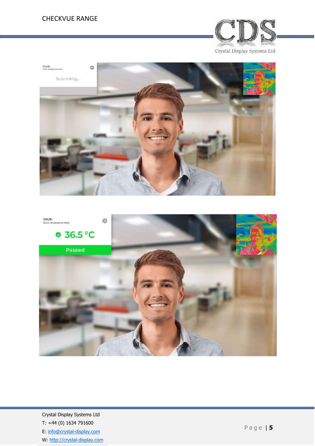#### CHECKVUE RANGE







Crystal Display Systems Ltd T: +44 (0) 1634 791600 E: [info@crystal-display.com](mailto:info@crystal-display.com) W: [http://crystal-display.com](http://crystal-display.com/)